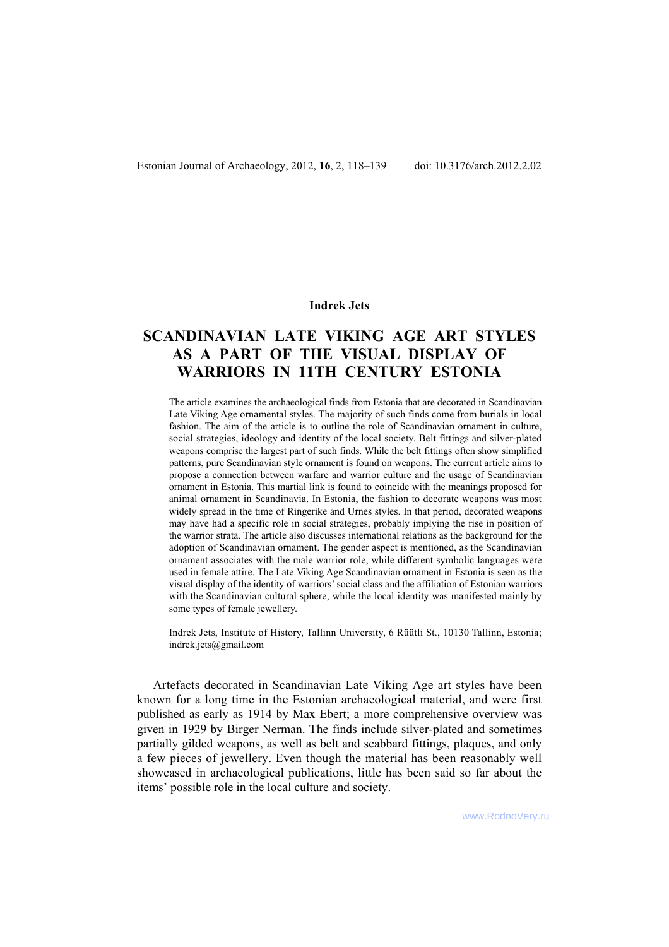# **Indrek Jets**

# **SCANDINAVIAN LATE VIKING AGE ART STYLES AS A PART OF THE VISUAL DISPLAY OF WARRIORS IN 11TH CENTURY ESTONIA**

The article examines the archaeological finds from Estonia that are decorated in Scandinavian Late Viking Age ornamental styles. The majority of such finds come from burials in local fashion. The aim of the article is to outline the role of Scandinavian ornament in culture, social strategies, ideology and identity of the local society. Belt fittings and silver-plated weapons comprise the largest part of such finds. While the belt fittings often show simplified patterns, pure Scandinavian style ornament is found on weapons. The current article aims to propose a connection between warfare and warrior culture and the usage of Scandinavian ornament in Estonia. This martial link is found to coincide with the meanings proposed for animal ornament in Scandinavia. In Estonia, the fashion to decorate weapons was most widely spread in the time of Ringerike and Urnes styles. In that period, decorated weapons may have had a specific role in social strategies, probably implying the rise in position of the warrior strata. The article also discusses international relations as the background for the adoption of Scandinavian ornament. The gender aspect is mentioned, as the Scandinavian ornament associates with the male warrior role, while different symbolic languages were used in female attire. The Late Viking Age Scandinavian ornament in Estonia is seen as the visual display of the identity of warriors' social class and the affiliation of Estonian warriors with the Scandinavian cultural sphere, while the local identity was manifested mainly by some types of female jewellery.

Indrek Jets, Institute of History, Tallinn University, 6 Rüütli St., 10130 Tallinn, Estonia; indrek.jets@gmail.com

Artefacts decorated in Scandinavian Late Viking Age art styles have been known for a long time in the Estonian archaeological material, and were first published as early as 1914 by Max Ebert; a more comprehensive overview was given in 1929 by Birger Nerman. The finds include silver-plated and sometimes partially gilded weapons, as well as belt and scabbard fittings, plaques, and only a few pieces of jewellery. Even though the material has been reasonably well showcased in archaeological publications, little has been said so far about the items' possible role in the local culture and society.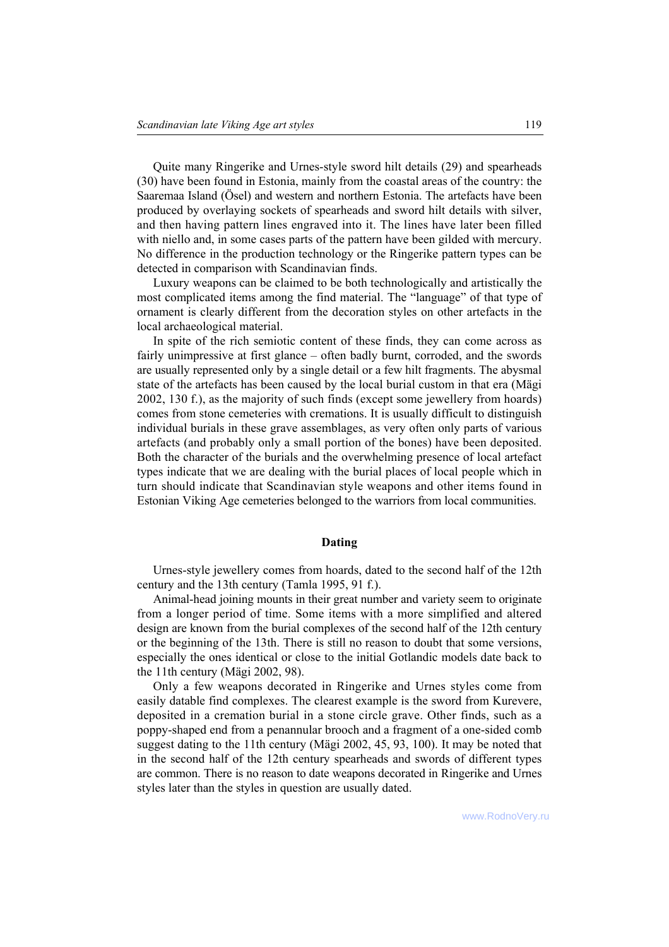Quite many Ringerike and Urnes-style sword hilt details (29) and spearheads (30) have been found in Estonia, mainly from the coastal areas of the country: the Saaremaa Island (Ösel) and western and northern Estonia. The artefacts have been produced by overlaying sockets of spearheads and sword hilt details with silver, and then having pattern lines engraved into it. The lines have later been filled with niello and, in some cases parts of the pattern have been gilded with mercury. No difference in the production technology or the Ringerike pattern types can be detected in comparison with Scandinavian finds.

Luxury weapons can be claimed to be both technologically and artistically the most complicated items among the find material. The "language" of that type of ornament is clearly different from the decoration styles on other artefacts in the local archaeological material.

In spite of the rich semiotic content of these finds, they can come across as fairly unimpressive at first glance – often badly burnt, corroded, and the swords are usually represented only by a single detail or a few hilt fragments. The abysmal state of the artefacts has been caused by the local burial custom in that era (Mägi 2002, 130 f.), as the majority of such finds (except some jewellery from hoards) comes from stone cemeteries with cremations. It is usually difficult to distinguish individual burials in these grave assemblages, as very often only parts of various artefacts (and probably only a small portion of the bones) have been deposited. Both the character of the burials and the overwhelming presence of local artefact types indicate that we are dealing with the burial places of local people which in turn should indicate that Scandinavian style weapons and other items found in Estonian Viking Age cemeteries belonged to the warriors from local communities.

# **Dating**

Urnes-style jewellery comes from hoards, dated to the second half of the 12th century and the 13th century (Tamla 1995, 91 f.).

Animal-head joining mounts in their great number and variety seem to originate from a longer period of time. Some items with a more simplified and altered design are known from the burial complexes of the second half of the 12th century or the beginning of the 13th. There is still no reason to doubt that some versions, especially the ones identical or close to the initial Gotlandic models date back to the 11th century (Mägi 2002, 98).

Only a few weapons decorated in Ringerike and Urnes styles come from easily datable find complexes. The clearest example is the sword from Kurevere, deposited in a cremation burial in a stone circle grave. Other finds, such as a poppy-shaped end from a penannular brooch and a fragment of a one-sided comb suggest dating to the 11th century (Mägi 2002,  $45$ ,  $93$ ,  $100$ ). It may be noted that in the second half of the 12th century spearheads and swords of different types are common. There is no reason to date weapons decorated in Ringerike and Urnes styles later than the styles in question are usually dated.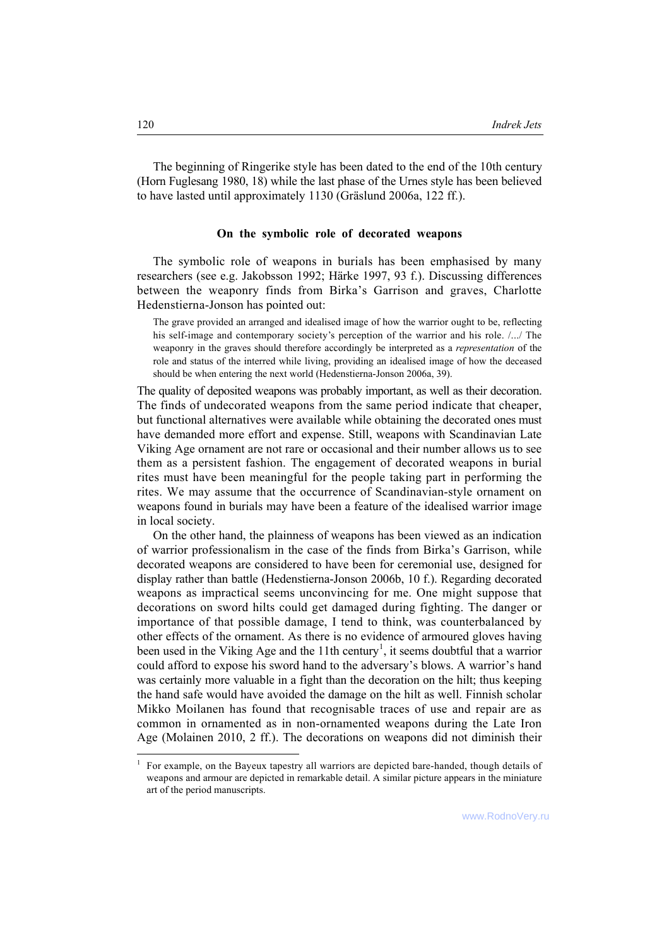The beginning of Ringerike style has been dated to the end of the 10th century (Horn Fuglesang 1980, 18) while the last phase of the Urnes style has been believed to have lasted until approximately 1130 (Gräslund 2006a, 122 ff.).

#### **On the symbolic role of decorated weapons**

The symbolic role of weapons in burials has been emphasised by many researchers (see e.g. Jakobsson 1992; Härke 1997, 93 f.). Discussing differences between the weaponry finds from Birka's Garrison and graves, Charlotte Hedenstierna-Jonson has pointed out:

The grave provided an arranged and idealised image of how the warrior ought to be, reflecting his self-image and contemporary society's perception of the warrior and his role.  $/$ .../ The weaponry in the graves should therefore accordingly be interpreted as a *representation* of the role and status of the interred while living, providing an idealised image of how the deceased should be when entering the next world (Hedenstierna-Jonson 2006a, 39).

The quality of deposited weapons was probably important, as well as their decoration. The finds of undecorated weapons from the same period indicate that cheaper, but functional alternatives were available while obtaining the decorated ones must have demanded more effort and expense. Still, weapons with Scandinavian Late Viking Age ornament are not rare or occasional and their number allows us to see them as a persistent fashion. The engagement of decorated weapons in burial rites must have been meaningful for the people taking part in performing the rites. We may assume that the occurrence of Scandinavian-style ornament on weapons found in burials may have been a feature of the idealised warrior image in local society.

On the other hand, the plainness of weapons has been viewed as an indication of warrior professionalism in the case of the finds from Birka's Garrison, while decorated weapons are considered to have been for ceremonial use, designed for display rather than battle (Hedenstierna-Jonson 2006b, 10 f.). Regarding decorated weapons as impractical seems unconvincing for me. One might suppose that decorations on sword hilts could get damaged during fighting. The danger or importance of that possible damage, I tend to think, was counterbalanced by other effects of the ornament. As there is no evidence of armoured gloves having been used in the Viking Age and the 11th century<sup>1</sup>, it seems doubtful that a warrior could afford to expose his sword hand to the adversary's blows. A warrior's hand was certainly more valuable in a fight than the decoration on the hilt; thus keeping the hand safe would have avoided the damage on the hilt as well. Finnish scholar Mikko Moilanen has found that recognisable traces of use and repair are as common in ornamented as in non-ornamented weapons during the Late Iron Age (Molainen 2010, 2 ff.). The decorations on weapons did not diminish their

l

<sup>1</sup> For example, on the Bayeux tapestry all warriors are depicted bare-handed, though details of weapons and armour are depicted in remarkable detail. A similar picture appears in the miniature art of the period manuscripts.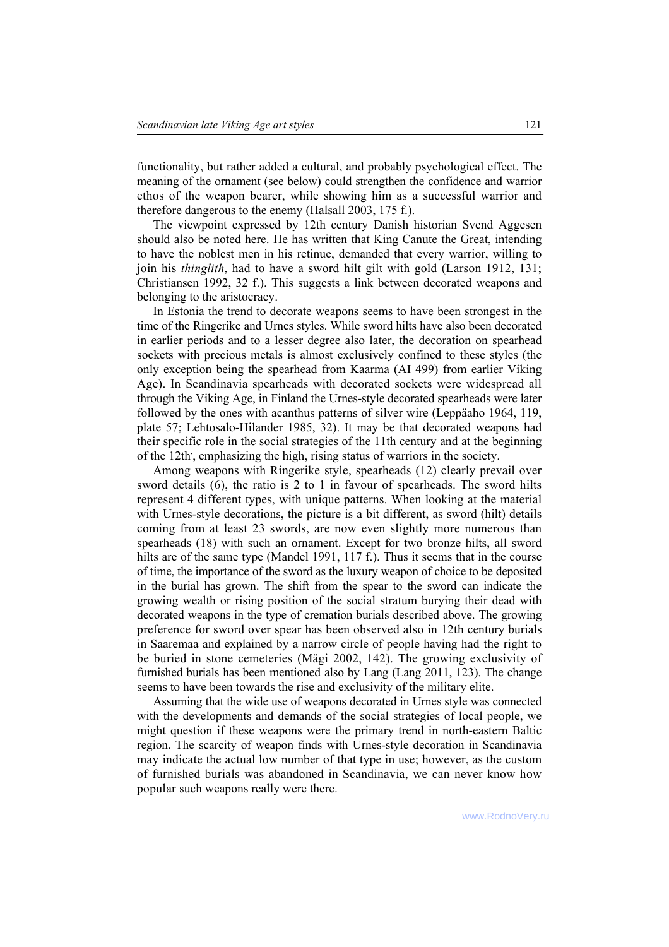functionality, but rather added a cultural, and probably psychological effect. The meaning of the ornament (see below) could strengthen the confidence and warrior ethos of the weapon bearer, while showing him as a successful warrior and therefore dangerous to the enemy (Halsall 2003, 175 f.).

The viewpoint expressed by 12th century Danish historian Svend Aggesen should also be noted here. He has written that King Canute the Great, intending to have the noblest men in his retinue, demanded that every warrior, willing to join his *thinglith*, had to have a sword hilt gilt with gold (Larson 1912, 131; Christiansen 1992, 32 f.). This suggests a link between decorated weapons and belonging to the aristocracy.

In Estonia the trend to decorate weapons seems to have been strongest in the time of the Ringerike and Urnes styles. While sword hilts have also been decorated in earlier periods and to a lesser degree also later, the decoration on spearhead sockets with precious metals is almost exclusively confined to these styles (the only exception being the spearhead from Kaarma (AI 499) from earlier Viking Age). In Scandinavia spearheads with decorated sockets were widespread all through the Viking Age, in Finland the Urnes-style decorated spearheads were later followed by the ones with acanthus patterns of silver wire (Leppäaho 1964, 119, plate 57; Lehtosalo-Hilander 1985, 32). It may be that decorated weapons had their specific role in the social strategies of the 11th century and at the beginning of the 12th', emphasizing the high, rising status of warriors in the society.

Among weapons with Ringerike style, spearheads (12) clearly prevail over sword details (6), the ratio is 2 to 1 in favour of spearheads. The sword hilts represent 4 different types, with unique patterns. When looking at the material with Urnes-style decorations, the picture is a bit different, as sword (hilt) details coming from at least 23 swords, are now even slightly more numerous than spearheads (18) with such an ornament. Except for two bronze hilts, all sword hilts are of the same type (Mandel 1991, 117 f.). Thus it seems that in the course of time, the importance of the sword as the luxury weapon of choice to be deposited in the burial has grown. The shift from the spear to the sword can indicate the growing wealth or rising position of the social stratum burying their dead with decorated weapons in the type of cremation burials described above. The growing preference for sword over spear has been observed also in 12th century burials in Saaremaa and explained by a narrow circle of people having had the right to be buried in stone cemeteries (Mägi 2002, 142). The growing exclusivity of furnished burials has been mentioned also by Lang (Lang 2011, 123). The change seems to have been towards the rise and exclusivity of the military elite.

Assuming that the wide use of weapons decorated in Urnes style was connected with the developments and demands of the social strategies of local people, we might question if these weapons were the primary trend in north-eastern Baltic region. The scarcity of weapon finds with Urnes-style decoration in Scandinavia may indicate the actual low number of that type in use; however, as the custom of furnished burials was abandoned in Scandinavia, we can never know how popular such weapons really were there.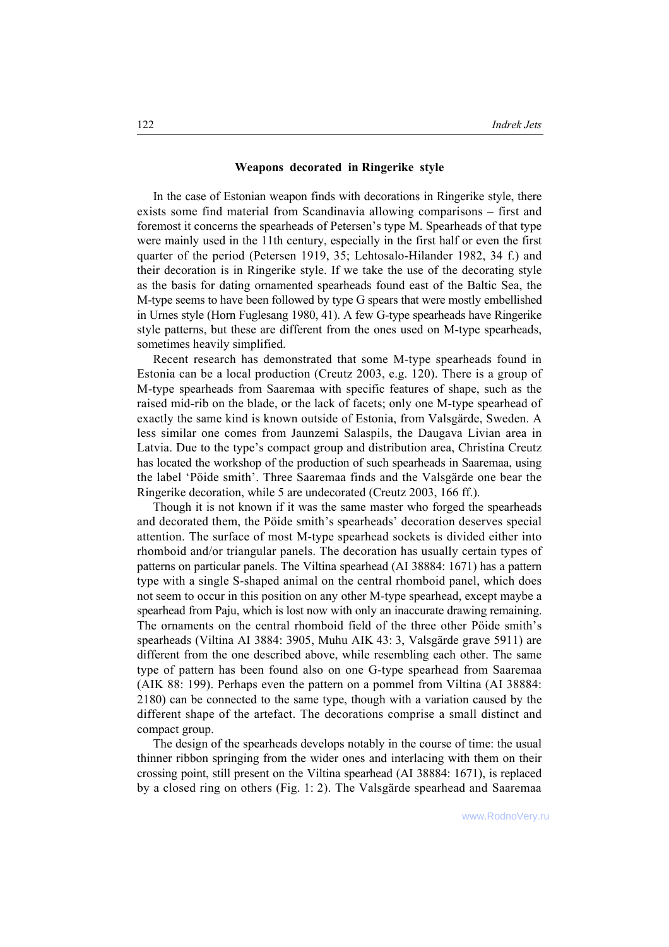## **Weapons decorated in Ringerike style**

In the case of Estonian weapon finds with decorations in Ringerike style, there exists some find material from Scandinavia allowing comparisons – first and foremost it concerns the spearheads of Petersen's type M. Spearheads of that type were mainly used in the 11th century, especially in the first half or even the first quarter of the period (Petersen 1919, 35; Lehtosalo-Hilander 1982, 34 f.) and their decoration is in Ringerike style. If we take the use of the decorating style as the basis for dating ornamented spearheads found east of the Baltic Sea, the M-type seems to have been followed by type G spears that were mostly embellished in Urnes style (Horn Fuglesang 1980, 41). A few G-type spearheads have Ringerike style patterns, but these are different from the ones used on M-type spearheads, sometimes heavily simplified.

Recent research has demonstrated that some M-type spearheads found in Estonia can be a local production (Creutz 2003, e.g. 120). There is a group of M-type spearheads from Saaremaa with specific features of shape, such as the raised mid-rib on the blade, or the lack of facets; only one M-type spearhead of exactly the same kind is known outside of Estonia, from Valsgärde, Sweden. A less similar one comes from Jaunzemi Salaspils, the Daugava Livian area in Latvia. Due to the type's compact group and distribution area, Christina Creutz has located the workshop of the production of such spearheads in Saaremaa, using the label 'Pöide smith'. Three Saaremaa finds and the Valsgärde one bear the Ringerike decoration, while 5 are undecorated (Creutz 2003, 166 ff.).

Though it is not known if it was the same master who forged the spearheads and decorated them, the Pöide smith's spearheads' decoration deserves special attention. The surface of most M-type spearhead sockets is divided either into rhomboid and/or triangular panels. The decoration has usually certain types of patterns on particular panels. The Viltina spearhead (AI 38884: 1671) has a pattern type with a single S-shaped animal on the central rhomboid panel, which does not seem to occur in this position on any other M-type spearhead, except maybe a spearhead from Paju, which is lost now with only an inaccurate drawing remaining. The ornaments on the central rhomboid field of the three other Pöide smith's spearheads (Viltina AI 3884: 3905, Muhu AIK 43: 3, Valsgärde grave 5911) are different from the one described above, while resembling each other. The same type of pattern has been found also on one G-type spearhead from Saaremaa (AIK 88: 199). Perhaps even the pattern on a pommel from Viltina (AI 38884: 2180) can be connected to the same type, though with a variation caused by the different shape of the artefact. The decorations comprise a small distinct and compact group.

The design of the spearheads develops notably in the course of time: the usual thinner ribbon springing from the wider ones and interlacing with them on their crossing point, still present on the Viltina spearhead (AI 38884: 1671), is replaced by a closed ring on others (Fig. 1: 2). The Valsgärde spearhead and Saaremaa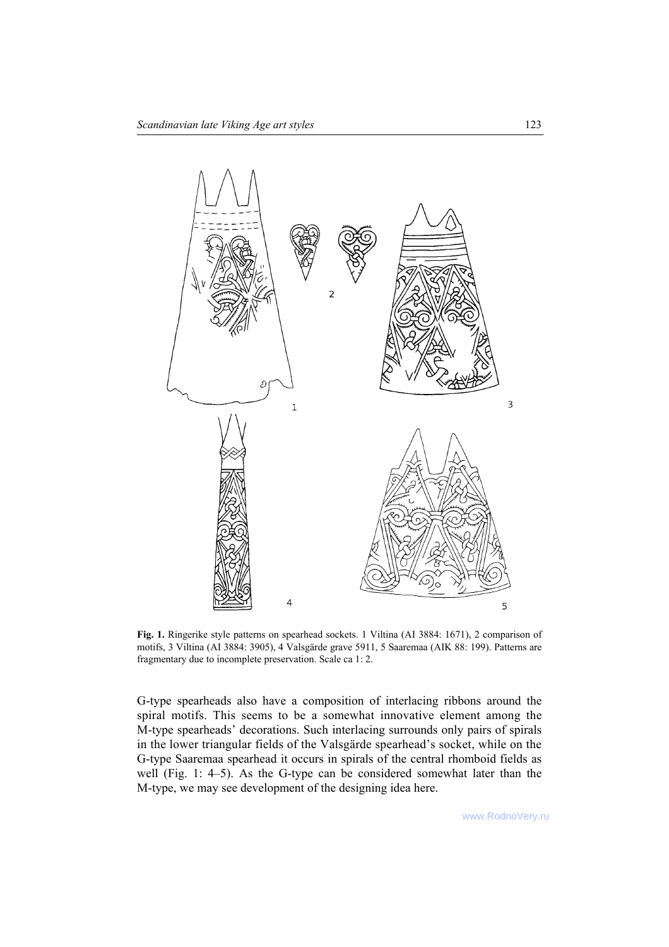

**Fig. 1.** Ringerike style patterns on spearhead sockets. 1 Viltina (AI 3884: 1671), 2 comparison of motifs, 3 Viltina (AI 3884: 3905), 4 Valsgärde grave 5911, 5 Saaremaa (AIK 88: 199). Patterns are fragmentary due to incomplete preservation. Scale ca 1: 2.

G-type spearheads also have a composition of interlacing ribbons around the spiral motifs. This seems to be a somewhat innovative element among the M-type spearheads' decorations. Such interlacing surrounds only pairs of spirals in the lower triangular fields of the Valsgärde spearhead's socket, while on the G-type Saaremaa spearhead it occurs in spirals of the central rhomboid fields as well (Fig. 1: 4-5). As the G-type can be considered somewhat later than the M-type, we may see development of the designing idea here.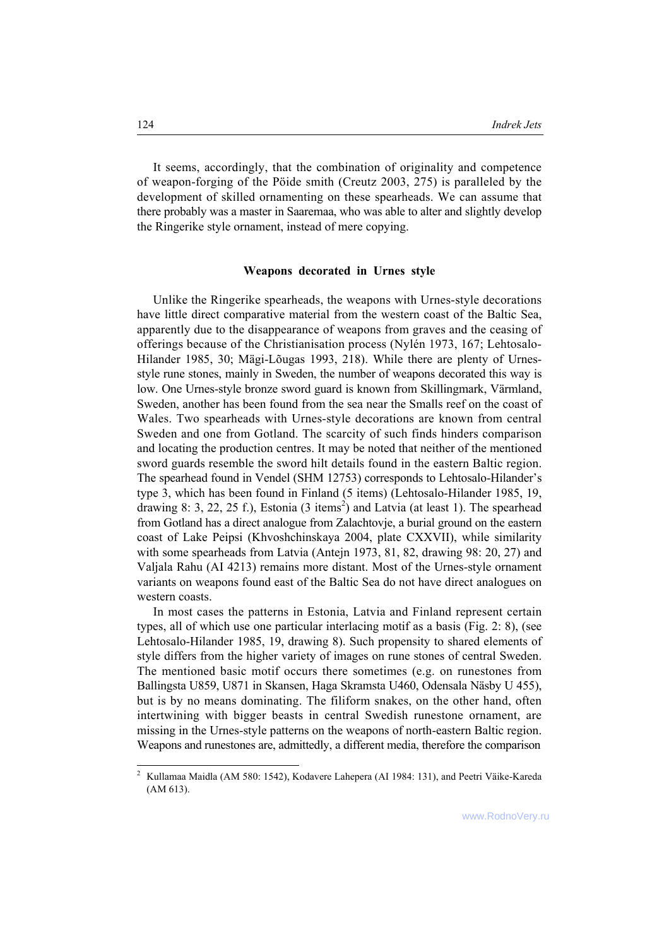It seems, accordingly, that the combination of originality and competence of weapon-forging of the Pöide smith (Creutz 2003, 275) is paralleled by the development of skilled ornamenting on these spearheads. We can assume that there probably was a master in Saaremaa, who was able to alter and slightly develop the Ringerike style ornament, instead of mere copying.

#### **Weapons decorated in Urnes style**

Unlike the Ringerike spearheads, the weapons with Urnes-style decorations have little direct comparative material from the western coast of the Baltic Sea, apparently due to the disappearance of weapons from graves and the ceasing of offerings because of the Christianisation process (Nylén 1973, 167; Lehtosalo-Hilander 1985, 30; Mägi-Lõugas 1993, 218). While there are plenty of Urnesstyle rune stones, mainly in Sweden, the number of weapons decorated this way is low. One Urnes-style bronze sword guard is known from Skillingmark, Värmland, Sweden, another has been found from the sea near the Smalls reef on the coast of Wales. Two spearheads with Urnes-style decorations are known from central Sweden and one from Gotland. The scarcity of such finds hinders comparison and locating the production centres. It may be noted that neither of the mentioned sword guards resemble the sword hilt details found in the eastern Baltic region. The spearhead found in Vendel (SHM 12753) corresponds to Lehtosalo-Hilander's type 3, which has been found in Finland (5 items) (Lehtosalo-Hilander 1985, 19, drawing 8: 3, 22, 25 f.), Estonia  $(3 \text{ items}^2)$  and Latvia (at least 1). The spearhead from Gotland has a direct analogue from Zalachtovje, a burial ground on the eastern coast of Lake Peipsi (Khvoshchinskaya 2004, plate CXXVII), while similarity with some spearheads from Latvia (Antejn 1973, 81, 82, drawing 98: 20, 27) and Valjala Rahu (AI 4213) remains more distant. Most of the Urnes-style ornament variants on weapons found east of the Baltic Sea do not have direct analogues on western coasts.

In most cases the patterns in Estonia, Latvia and Finland represent certain types, all of which use one particular interlacing motif as a basis (Fig. 2: 8), (see Lehtosalo-Hilander 1985, 19, drawing 8). Such propensity to shared elements of style differs from the higher variety of images on rune stones of central Sweden. The mentioned basic motif occurs there sometimes (e.g. on runestones from Ballingsta U859, U871 in Skansen, Haga Skramsta U460, Odensala Näsby U 455), but is by no means dominating. The filiform snakes, on the other hand, often intertwining with bigger beasts in central Swedish runestone ornament, are missing in the Urnes-style patterns on the weapons of north-eastern Baltic region. Weapons and runestones are, admittedly, a different media, therefore the comparison

l

<sup>2</sup> Kullamaa Maidla (AM 580: 1542), Kodavere Lahepera (AI 1984: 131), and Peetri Väike-Kareda (AM 613).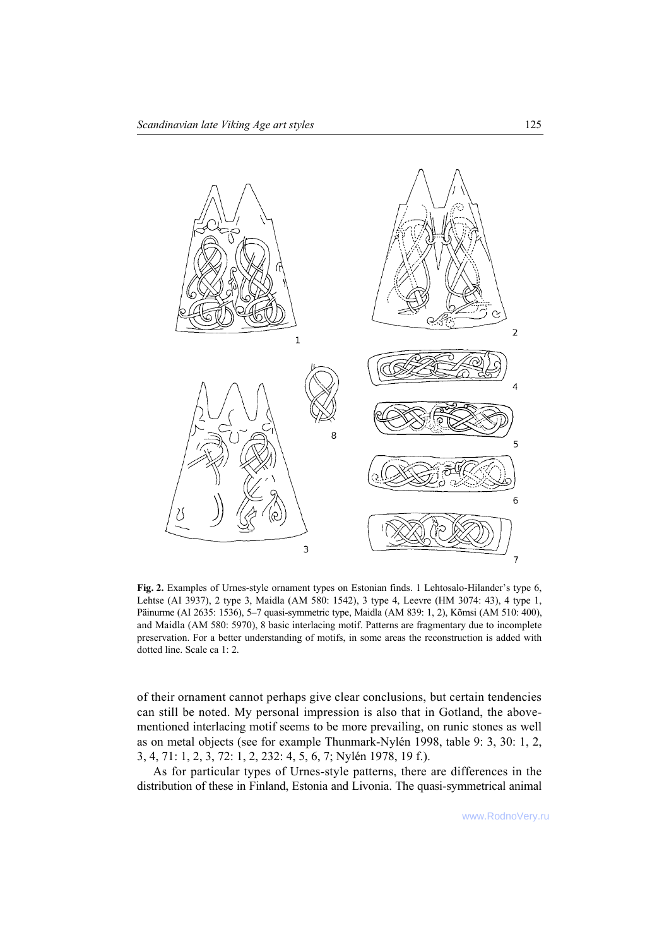

Fig. 2. Examples of Urnes-style ornament types on Estonian finds. 1 Lehtosalo-Hilander's type 6, Lehtse (AI 3937), 2 type 3, Maidla (AM 580: 1542), 3 type 4, Leevre (HM 3074: 43), 4 type 1, Päinurme (AI 2635: 1536), 5–7 quasi-symmetric type, Maidla (AM 839: 1, 2), Kõmsi (AM 510: 400), and Maidla (AM 580: 5970), 8 basic interlacing motif. Patterns are fragmentary due to incomplete preservation. For a better understanding of motifs, in some areas the reconstruction is added with dotted line. Scale ca 1: 2.

of their ornament cannot perhaps give clear conclusions, but certain tendencies can still be noted. My personal impression is also that in Gotland, the abovementioned interlacing motif seems to be more prevailing, on runic stones as well as on metal objects (see for example Thunmark-NylÈn 1998, table 9: 3, 30: 1, 2, 3, 4, 71: 1, 2, 3, 72: 1, 2, 232: 4, 5, 6, 7; NylÈn 1978, 19 f.).

As for particular types of Urnes-style patterns, there are differences in the distribution of these in Finland, Estonia and Livonia. The quasi-symmetrical animal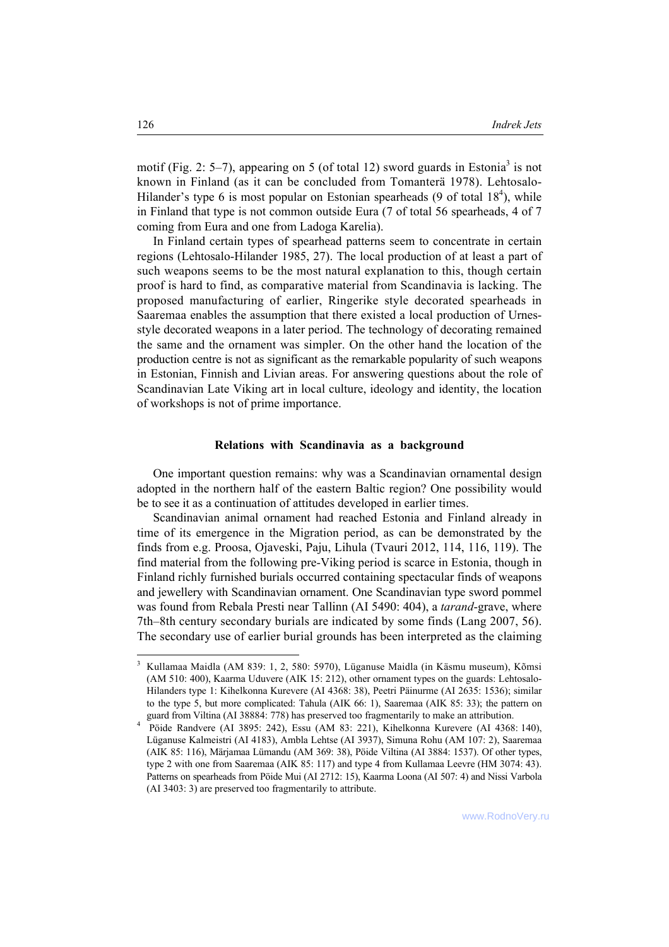motif (Fig. 2: 5–7), appearing on 5 (of total 12) sword guards in Estonia<sup>3</sup> is not known in Finland (as it can be concluded from Tomanterä 1978). Lehtosalo-Hilander's type 6 is most popular on Estonian spearheads  $(9 \text{ of total } 18^4)$ , while in Finland that type is not common outside Eura (7 of total 56 spearheads, 4 of 7 coming from Eura and one from Ladoga Karelia).

In Finland certain types of spearhead patterns seem to concentrate in certain regions (Lehtosalo-Hilander 1985, 27). The local production of at least a part of such weapons seems to be the most natural explanation to this, though certain proof is hard to find, as comparative material from Scandinavia is lacking. The proposed manufacturing of earlier, Ringerike style decorated spearheads in Saaremaa enables the assumption that there existed a local production of Urnesstyle decorated weapons in a later period. The technology of decorating remained the same and the ornament was simpler. On the other hand the location of the production centre is not as significant as the remarkable popularity of such weapons in Estonian, Finnish and Livian areas. For answering questions about the role of Scandinavian Late Viking art in local culture, ideology and identity, the location of workshops is not of prime importance.

## **Relations with Scandinavia as a background**

One important question remains: why was a Scandinavian ornamental design adopted in the northern half of the eastern Baltic region? One possibility would be to see it as a continuation of attitudes developed in earlier times.

Scandinavian animal ornament had reached Estonia and Finland already in time of its emergence in the Migration period, as can be demonstrated by the finds from e.g. Proosa, Ojaveski, Paju, Lihula (Tvauri 2012, 114, 116, 119). The find material from the following pre-Viking period is scarce in Estonia, though in Finland richly furnished burials occurred containing spectacular finds of weapons and jewellery with Scandinavian ornament. One Scandinavian type sword pommel was found from Rebala Presti near Tallinn (AI 5490: 404), a *tarand*-grave, where 7th–8th century secondary burials are indicated by some finds (Lang 2007, 56). The secondary use of earlier burial grounds has been interpreted as the claiming

<sup>&</sup>lt;sup>3</sup> Kullamaa Maidla (AM 839: 1, 2, 580: 5970), Lüganuse Maidla (in Käsmu museum), Kõmsi (AM 510: 400), Kaarma Uduvere (AIK 15: 212), other ornament types on the guards: Lehtosalo-Hilanders type 1: Kihelkonna Kurevere (AI 4368: 38), Peetri Päinurme (AI 2635: 1536); similar to the type 5, but more complicated: Tahula (AIK 66: 1), Saaremaa (AIK 85: 33); the pattern on guard from Viltina (AI 38884: 778) has preserved too fragmentarily to make an attribution. 4

<sup>&</sup>lt;sup>4</sup> Pöide Randvere (AI 3895: 242), Essu (AM 83: 221), Kihelkonna Kurevere (AI 4368: 140), Lüganuse Kalmeistri (AI 4183), Ambla Lehtse (AI 3937), Simuna Rohu (AM 107: 2), Saaremaa (AIK 85: 116), Märjamaa Lümandu (AM 369: 38), Pöide Viltina (AI 3884: 1537). Of other types, type 2 with one from Saaremaa (AIK 85: 117) and type 4 from Kullamaa Leevre (HM 3074: 43). Patterns on spearheads from Pöide Mui (AI 2712: 15), Kaarma Loona (AI 507: 4) and Nissi Varbola (AI 3403: 3) are preserved too fragmentarily to attribute.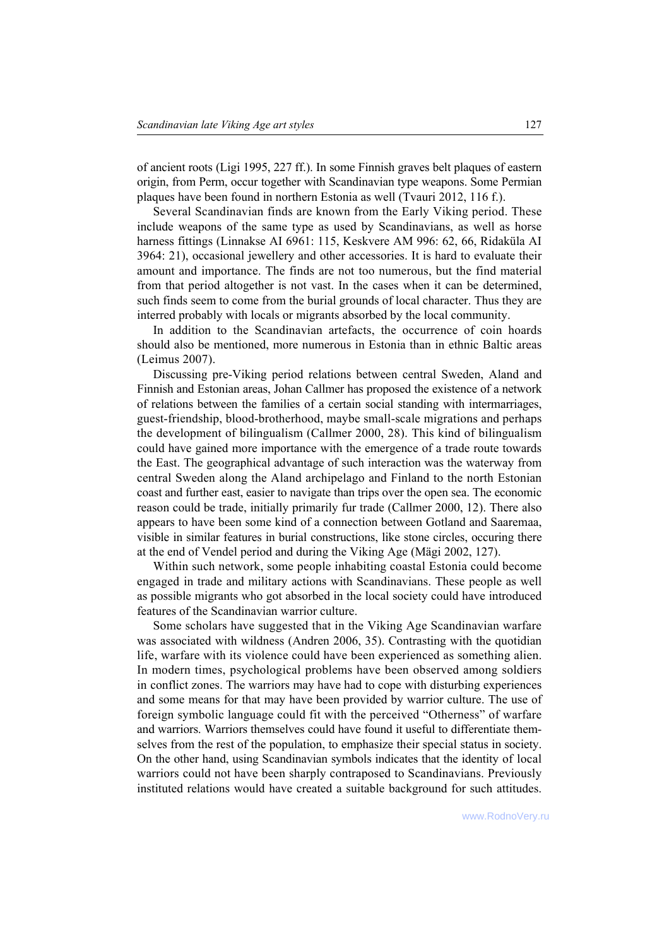of ancient roots (Ligi 1995, 227 ff.). In some Finnish graves belt plaques of eastern origin, from Perm, occur together with Scandinavian type weapons. Some Permian plaques have been found in northern Estonia as well (Tvauri 2012, 116 f.).

Several Scandinavian finds are known from the Early Viking period. These include weapons of the same type as used by Scandinavians, as well as horse harness fittings (Linnakse AI 6961: 115, Keskvere AM 996: 62, 66, Ridaküla AI 3964: 21), occasional jewellery and other accessories. It is hard to evaluate their amount and importance. The finds are not too numerous, but the find material from that period altogether is not vast. In the cases when it can be determined, such finds seem to come from the burial grounds of local character. Thus they are interred probably with locals or migrants absorbed by the local community.

In addition to the Scandinavian artefacts, the occurrence of coin hoards should also be mentioned, more numerous in Estonia than in ethnic Baltic areas (Leimus 2007).

Discussing pre-Viking period relations between central Sweden, Aland and Finnish and Estonian areas, Johan Callmer has proposed the existence of a network of relations between the families of a certain social standing with intermarriages, guest-friendship, blood-brotherhood, maybe small-scale migrations and perhaps the development of bilingualism (Callmer 2000, 28). This kind of bilingualism could have gained more importance with the emergence of a trade route towards the East. The geographical advantage of such interaction was the waterway from central Sweden along the Aland archipelago and Finland to the north Estonian coast and further east, easier to navigate than trips over the open sea. The economic reason could be trade, initially primarily fur trade (Callmer 2000, 12). There also appears to have been some kind of a connection between Gotland and Saaremaa, visible in similar features in burial constructions, like stone circles, occuring there at the end of Vendel period and during the Viking Age (Mägi 2002, 127).

Within such network, some people inhabiting coastal Estonia could become engaged in trade and military actions with Scandinavians. These people as well as possible migrants who got absorbed in the local society could have introduced features of the Scandinavian warrior culture.

Some scholars have suggested that in the Viking Age Scandinavian warfare was associated with wildness (Andren 2006, 35). Contrasting with the quotidian life, warfare with its violence could have been experienced as something alien. In modern times, psychological problems have been observed among soldiers in conflict zones. The warriors may have had to cope with disturbing experiences and some means for that may have been provided by warrior culture. The use of foreign symbolic language could fit with the perceived "Otherness" of warfare and warriors. Warriors themselves could have found it useful to differentiate themselves from the rest of the population, to emphasize their special status in society. On the other hand, using Scandinavian symbols indicates that the identity of local warriors could not have been sharply contraposed to Scandinavians. Previously instituted relations would have created a suitable background for such attitudes.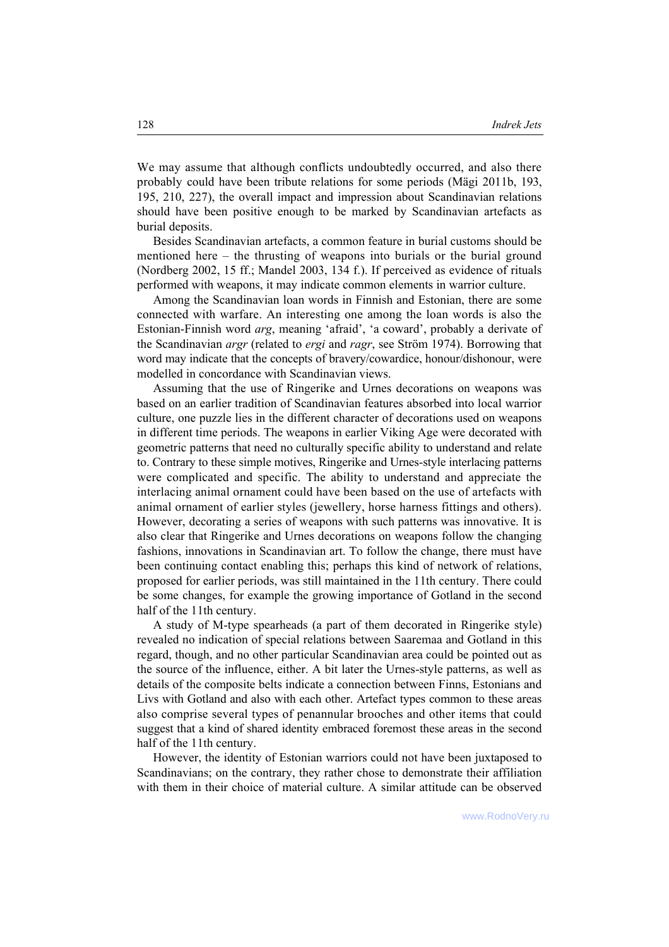We may assume that although conflicts undoubtedly occurred, and also there probably could have been tribute relations for some periods (Mägi 2011b, 193, 195, 210, 227), the overall impact and impression about Scandinavian relations should have been positive enough to be marked by Scandinavian artefacts as burial deposits.

Besides Scandinavian artefacts, a common feature in burial customs should be mentioned here  $-$  the thrusting of weapons into burials or the burial ground (Nordberg 2002, 15 ff.; Mandel 2003, 134 f.). If perceived as evidence of rituals performed with weapons, it may indicate common elements in warrior culture.

Among the Scandinavian loan words in Finnish and Estonian, there are some connected with warfare. An interesting one among the loan words is also the Estonian-Finnish word *arg*, meaning 'afraid', 'a coward', probably a derivate of the Scandinavian *argr* (related to *ergi* and *ragr*, see Ström 1974). Borrowing that word may indicate that the concepts of bravery/cowardice, honour/dishonour, were modelled in concordance with Scandinavian views.

Assuming that the use of Ringerike and Urnes decorations on weapons was based on an earlier tradition of Scandinavian features absorbed into local warrior culture, one puzzle lies in the different character of decorations used on weapons in different time periods. The weapons in earlier Viking Age were decorated with geometric patterns that need no culturally specific ability to understand and relate to. Contrary to these simple motives, Ringerike and Urnes-style interlacing patterns were complicated and specific. The ability to understand and appreciate the interlacing animal ornament could have been based on the use of artefacts with animal ornament of earlier styles (jewellery, horse harness fittings and others). However, decorating a series of weapons with such patterns was innovative. It is also clear that Ringerike and Urnes decorations on weapons follow the changing fashions, innovations in Scandinavian art. To follow the change, there must have been continuing contact enabling this; perhaps this kind of network of relations, proposed for earlier periods, was still maintained in the 11th century. There could be some changes, for example the growing importance of Gotland in the second half of the 11th century.

A study of M-type spearheads (a part of them decorated in Ringerike style) revealed no indication of special relations between Saaremaa and Gotland in this regard, though, and no other particular Scandinavian area could be pointed out as the source of the influence, either. A bit later the Urnes-style patterns, as well as details of the composite belts indicate a connection between Finns, Estonians and Livs with Gotland and also with each other. Artefact types common to these areas also comprise several types of penannular brooches and other items that could suggest that a kind of shared identity embraced foremost these areas in the second half of the 11th century.

However, the identity of Estonian warriors could not have been juxtaposed to Scandinavians; on the contrary, they rather chose to demonstrate their affiliation with them in their choice of material culture. A similar attitude can be observed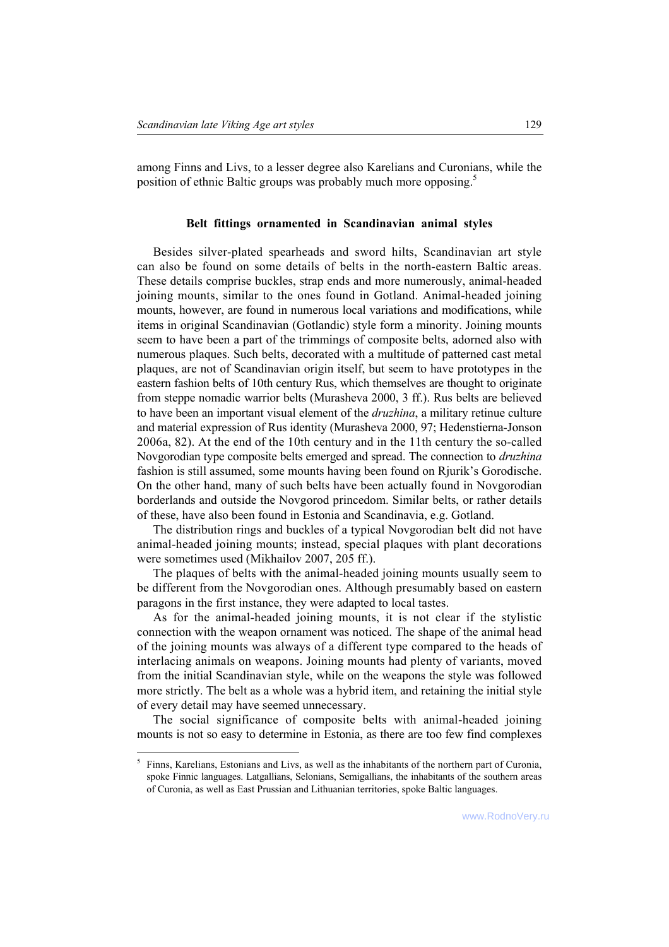among Finns and Livs, to a lesser degree also Karelians and Curonians, while the position of ethnic Baltic groups was probably much more opposing.<sup>5</sup>

# **Belt fittings ornamented in Scandinavian animal styles**

Besides silver-plated spearheads and sword hilts, Scandinavian art style can also be found on some details of belts in the north-eastern Baltic areas. These details comprise buckles, strap ends and more numerously, animal-headed joining mounts, similar to the ones found in Gotland. Animal-headed joining mounts, however, are found in numerous local variations and modifications, while items in original Scandinavian (Gotlandic) style form a minority. Joining mounts seem to have been a part of the trimmings of composite belts, adorned also with numerous plaques. Such belts, decorated with a multitude of patterned cast metal plaques, are not of Scandinavian origin itself, but seem to have prototypes in the eastern fashion belts of 10th century Rus, which themselves are thought to originate from steppe nomadic warrior belts (Murasheva 2000, 3 ff.). Rus belts are believed to have been an important visual element of the *druzhina*, a military retinue culture and material expression of Rus identity (Murasheva 2000, 97; Hedenstierna-Jonson 2006a, 82). At the end of the 10th century and in the 11th century the so-called Novgorodian type composite belts emerged and spread. The connection to *druzhina* fashion is still assumed, some mounts having been found on Rjurik's Gorodische. On the other hand, many of such belts have been actually found in Novgorodian borderlands and outside the Novgorod princedom. Similar belts, or rather details of these, have also been found in Estonia and Scandinavia, e.g. Gotland.

The distribution rings and buckles of a typical Novgorodian belt did not have animal-headed joining mounts; instead, special plaques with plant decorations were sometimes used (Mikhailov 2007, 205 ff.).

The plaques of belts with the animal-headed joining mounts usually seem to be different from the Novgorodian ones. Although presumably based on eastern paragons in the first instance, they were adapted to local tastes.

As for the animal-headed joining mounts, it is not clear if the stylistic connection with the weapon ornament was noticed. The shape of the animal head of the joining mounts was always of a different type compared to the heads of interlacing animals on weapons. Joining mounts had plenty of variants, moved from the initial Scandinavian style, while on the weapons the style was followed more strictly. The belt as a whole was a hybrid item, and retaining the initial style of every detail may have seemed unnecessary.

The social significance of composite belts with animal-headed joining mounts is not so easy to determine in Estonia, as there are too few find complexes

l

<sup>&</sup>lt;sup>5</sup> Finns, Karelians, Estonians and Livs, as well as the inhabitants of the northern part of Curonia, spoke Finnic languages. Latgallians, Selonians, Semigallians, the inhabitants of the southern areas of Curonia, as well as East Prussian and Lithuanian territories, spoke Baltic languages.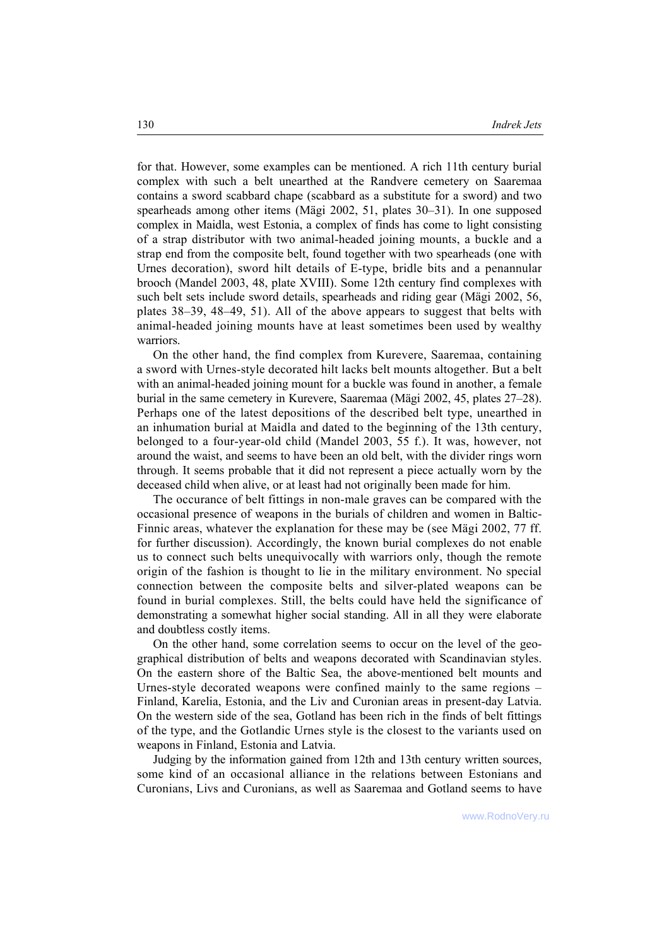for that. However, some examples can be mentioned. A rich 11th century burial complex with such a belt unearthed at the Randvere cemetery on Saaremaa contains a sword scabbard chape (scabbard as a substitute for a sword) and two spearheads among other items (Mägi 2002, 51, plates 30–31). In one supposed complex in Maidla, west Estonia, a complex of finds has come to light consisting of a strap distributor with two animal-headed joining mounts, a buckle and a strap end from the composite belt, found together with two spearheads (one with Urnes decoration), sword hilt details of E-type, bridle bits and a penannular brooch (Mandel 2003, 48, plate XVIII). Some 12th century find complexes with such belt sets include sword details, spearheads and riding gear (Mägi 2002, 56, plates  $38-39$ ,  $48-49$ , 51). All of the above appears to suggest that belts with animal-headed joining mounts have at least sometimes been used by wealthy warriors.

On the other hand, the find complex from Kurevere, Saaremaa, containing a sword with Urnes-style decorated hilt lacks belt mounts altogether. But a belt with an animal-headed joining mount for a buckle was found in another, a female burial in the same cemetery in Kurevere, Saaremaa (Mägi 2002, 45, plates 27–28). Perhaps one of the latest depositions of the described belt type, unearthed in an inhumation burial at Maidla and dated to the beginning of the 13th century, belonged to a four-year-old child (Mandel 2003, 55 f.). It was, however, not around the waist, and seems to have been an old belt, with the divider rings worn through. It seems probable that it did not represent a piece actually worn by the deceased child when alive, or at least had not originally been made for him.

The occurance of belt fittings in non-male graves can be compared with the occasional presence of weapons in the burials of children and women in Baltic-Finnic areas, whatever the explanation for these may be (see Mägi 2002, 77 ff. for further discussion). Accordingly, the known burial complexes do not enable us to connect such belts unequivocally with warriors only, though the remote origin of the fashion is thought to lie in the military environment. No special connection between the composite belts and silver-plated weapons can be found in burial complexes. Still, the belts could have held the significance of demonstrating a somewhat higher social standing. All in all they were elaborate and doubtless costly items.

On the other hand, some correlation seems to occur on the level of the geographical distribution of belts and weapons decorated with Scandinavian styles. On the eastern shore of the Baltic Sea, the above-mentioned belt mounts and Urnes-style decorated weapons were confined mainly to the same regions  $-$ Finland, Karelia, Estonia, and the Liv and Curonian areas in present-day Latvia. On the western side of the sea, Gotland has been rich in the finds of belt fittings of the type, and the Gotlandic Urnes style is the closest to the variants used on weapons in Finland, Estonia and Latvia.

Judging by the information gained from 12th and 13th century written sources, some kind of an occasional alliance in the relations between Estonians and Curonians, Livs and Curonians, as well as Saaremaa and Gotland seems to have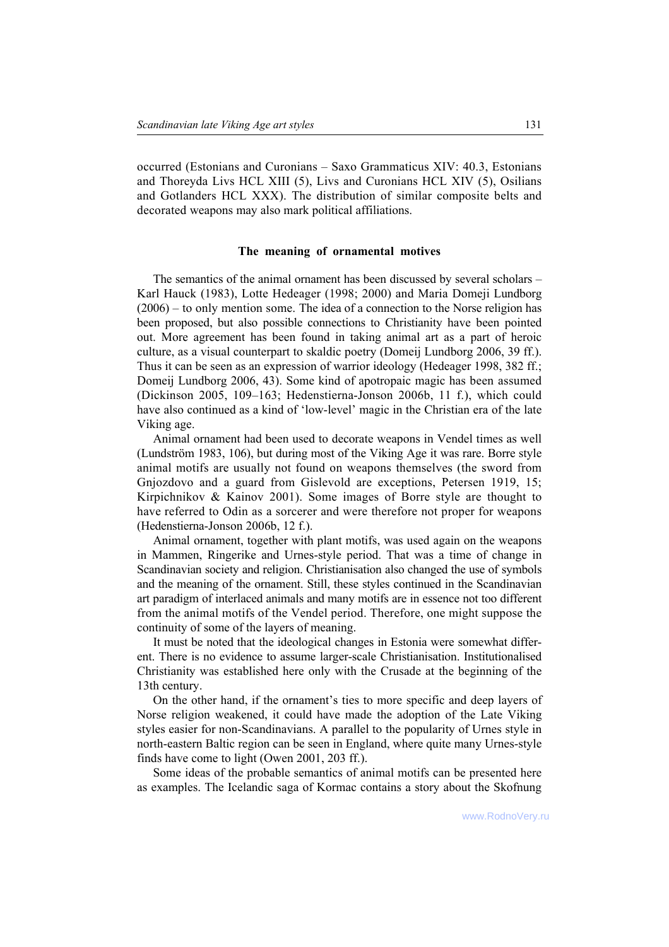occurred (Estonians and Curonians – Saxo Grammaticus XIV: 40.3, Estonians and Thoreyda Livs HCL XIII (5), Livs and Curonians HCL XIV (5), Osilians and Gotlanders HCL XXX). The distribution of similar composite belts and decorated weapons may also mark political affiliations.

#### **The meaning of ornamental motives**

The semantics of the animal ornament has been discussed by several scholars – Karl Hauck (1983), Lotte Hedeager (1998; 2000) and Maria Domeji Lundborg  $(2006)$  – to only mention some. The idea of a connection to the Norse religion has been proposed, but also possible connections to Christianity have been pointed out. More agreement has been found in taking animal art as a part of heroic culture, as a visual counterpart to skaldic poetry (Domeij Lundborg 2006, 39 ff.). Thus it can be seen as an expression of warrior ideology (Hedeager 1998, 382 ff.; Domeij Lundborg 2006, 43). Some kind of apotropaic magic has been assumed (Dickinson 2005, 109-163; Hedenstierna-Jonson 2006b, 11 f.), which could have also continued as a kind of 'low-level' magic in the Christian era of the late Viking age.

Animal ornament had been used to decorate weapons in Vendel times as well  $(Lundström 1983, 106)$ , but during most of the Viking Age it was rare. Borre style animal motifs are usually not found on weapons themselves (the sword from Gnjozdovo and a guard from Gislevold are exceptions, Petersen 1919, 15; Kirpichnikov & Kainov 2001). Some images of Borre style are thought to have referred to Odin as a sorcerer and were therefore not proper for weapons (Hedenstierna-Jonson 2006b, 12 f.).

Animal ornament, together with plant motifs, was used again on the weapons in Mammen, Ringerike and Urnes-style period. That was a time of change in Scandinavian society and religion. Christianisation also changed the use of symbols and the meaning of the ornament. Still, these styles continued in the Scandinavian art paradigm of interlaced animals and many motifs are in essence not too different from the animal motifs of the Vendel period. Therefore, one might suppose the continuity of some of the layers of meaning.

It must be noted that the ideological changes in Estonia were somewhat different. There is no evidence to assume larger-scale Christianisation. Institutionalised Christianity was established here only with the Crusade at the beginning of the 13th century.

On the other hand, if the ornament's ties to more specific and deep layers of Norse religion weakened, it could have made the adoption of the Late Viking styles easier for non-Scandinavians. A parallel to the popularity of Urnes style in north-eastern Baltic region can be seen in England, where quite many Urnes-style finds have come to light (Owen 2001, 203 ff.).

Some ideas of the probable semantics of animal motifs can be presented here as examples. The Icelandic saga of Kormac contains a story about the Skofnung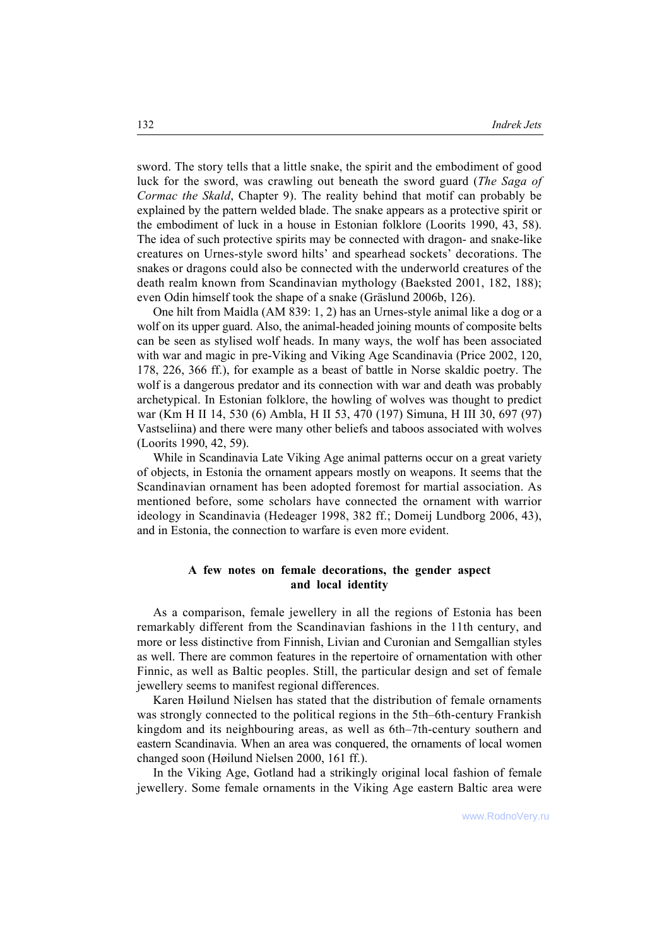sword. The story tells that a little snake, the spirit and the embodiment of good luck for the sword, was crawling out beneath the sword guard (*The Saga of Cormac the Skald*, Chapter 9). The reality behind that motif can probably be explained by the pattern welded blade. The snake appears as a protective spirit or the embodiment of luck in a house in Estonian folklore (Loorits 1990, 43, 58). The idea of such protective spirits may be connected with dragon- and snake-like creatures on Urnes-style sword hilts' and spearhead sockets' decorations. The snakes or dragons could also be connected with the underworld creatures of the death realm known from Scandinavian mythology (Baeksted 2001, 182, 188); even Odin himself took the shape of a snake (Gräslund 2006b, 126).

One hilt from Maidla (AM 839: 1, 2) has an Urnes-style animal like a dog or a wolf on its upper guard. Also, the animal-headed joining mounts of composite belts can be seen as stylised wolf heads. In many ways, the wolf has been associated with war and magic in pre-Viking and Viking Age Scandinavia (Price 2002, 120, 178, 226, 366 ff.), for example as a beast of battle in Norse skaldic poetry. The wolf is a dangerous predator and its connection with war and death was probably archetypical. In Estonian folklore, the howling of wolves was thought to predict war (Km H II 14, 530 (6) Ambla, H II 53, 470 (197) Simuna, H III 30, 697 (97) Vastseliina) and there were many other beliefs and taboos associated with wolves (Loorits 1990, 42, 59).

While in Scandinavia Late Viking Age animal patterns occur on a great variety of objects, in Estonia the ornament appears mostly on weapons. It seems that the Scandinavian ornament has been adopted foremost for martial association. As mentioned before, some scholars have connected the ornament with warrior ideology in Scandinavia (Hedeager 1998, 382 ff.; Domeij Lundborg 2006, 43), and in Estonia, the connection to warfare is even more evident.

# **A few notes on female decorations, the gender aspect and local identity**

As a comparison, female jewellery in all the regions of Estonia has been remarkably different from the Scandinavian fashions in the 11th century, and more or less distinctive from Finnish, Livian and Curonian and Semgallian styles as well. There are common features in the repertoire of ornamentation with other Finnic, as well as Baltic peoples. Still, the particular design and set of female jewellery seems to manifest regional differences.

Karen Høilund Nielsen has stated that the distribution of female ornaments was strongly connected to the political regions in the 5th–6th-century Frankish kingdom and its neighbouring areas, as well as 6th–7th-century southern and eastern Scandinavia. When an area was conquered, the ornaments of local women changed soon (Høilund Nielsen 2000, 161 ff.).

In the Viking Age, Gotland had a strikingly original local fashion of female jewellery. Some female ornaments in the Viking Age eastern Baltic area were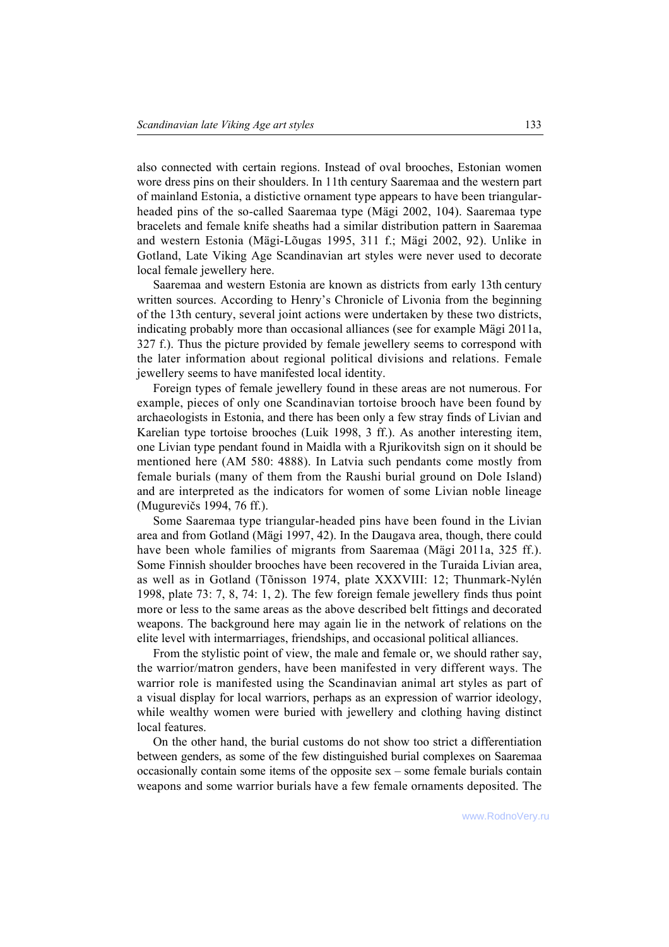also connected with certain regions. Instead of oval brooches, Estonian women wore dress pins on their shoulders. In 11th century Saaremaa and the western part of mainland Estonia, a distictive ornament type appears to have been triangularheaded pins of the so-called Saaremaa type (Mägi 2002, 104). Saaremaa type bracelets and female knife sheaths had a similar distribution pattern in Saaremaa and western Estonia (Mägi-Lõugas 1995, 311 f.; Mägi 2002, 92). Unlike in Gotland, Late Viking Age Scandinavian art styles were never used to decorate local female jewellery here.

Saaremaa and western Estonia are known as districts from early 13th century written sources. According to Henry's Chronicle of Livonia from the beginning of the 13th century, several joint actions were undertaken by these two districts, indicating probably more than occasional alliances (see for example Mägi 2011a, 327 f.). Thus the picture provided by female jewellery seems to correspond with the later information about regional political divisions and relations. Female jewellery seems to have manifested local identity.

Foreign types of female jewellery found in these areas are not numerous. For example, pieces of only one Scandinavian tortoise brooch have been found by archaeologists in Estonia, and there has been only a few stray finds of Livian and Karelian type tortoise brooches (Luik 1998, 3 ff.). As another interesting item, one Livian type pendant found in Maidla with a Rjurikovitsh sign on it should be mentioned here (AM 580: 4888). In Latvia such pendants come mostly from female burials (many of them from the Raushi burial ground on Dole Island) and are interpreted as the indicators for women of some Livian noble lineage (Mugurevičs 1994, 76 ff.).

Some Saaremaa type triangular-headed pins have been found in the Livian area and from Gotland (Mägi 1997, 42). In the Daugava area, though, there could have been whole families of migrants from Saaremaa (Mägi 2011a, 325 ff.). Some Finnish shoulder brooches have been recovered in the Turaida Livian area, as well as in Gotland (Tõnisson 1974, plate XXXVIII: 12; Thunmark-Nylén 1998, plate 73: 7, 8, 74: 1, 2). The few foreign female jewellery finds thus point more or less to the same areas as the above described belt fittings and decorated weapons. The background here may again lie in the network of relations on the elite level with intermarriages, friendships, and occasional political alliances.

From the stylistic point of view, the male and female or, we should rather say, the warrior/matron genders, have been manifested in very different ways. The warrior role is manifested using the Scandinavian animal art styles as part of a visual display for local warriors, perhaps as an expression of warrior ideology, while wealthy women were buried with jewellery and clothing having distinct local features.

On the other hand, the burial customs do not show too strict a differentiation between genders, as some of the few distinguished burial complexes on Saaremaa occasionally contain some items of the opposite sex  $-$  some female burials contain weapons and some warrior burials have a few female ornaments deposited. The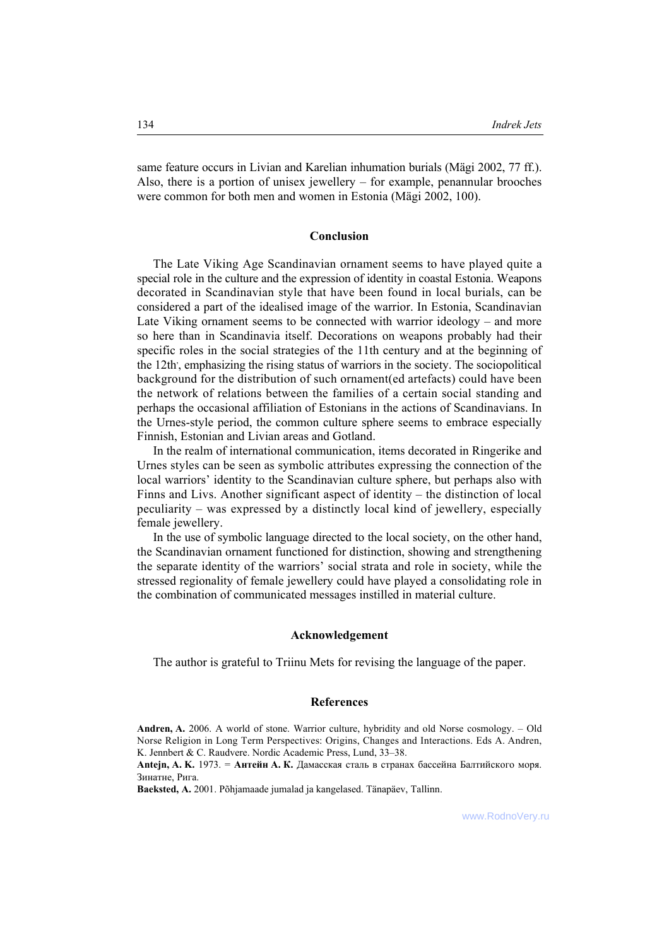same feature occurs in Livian and Karelian inhumation burials (Mägi 2002, 77 ff.). Also, there is a portion of unisex jewellery  $-$  for example, penannular brooches were common for both men and women in Estonia (Mägi 2002, 100).

#### **Conclusion**

The Late Viking Age Scandinavian ornament seems to have played quite a special role in the culture and the expression of identity in coastal Estonia. Weapons decorated in Scandinavian style that have been found in local burials, can be considered a part of the idealised image of the warrior. In Estonia, Scandinavian Late Viking ornament seems to be connected with warrior ideology  $-$  and more so here than in Scandinavia itself. Decorations on weapons probably had their specific roles in the social strategies of the 11th century and at the beginning of the 12th, , emphasizing the rising status of warriors in the society. The sociopolitical background for the distribution of such ornament(ed artefacts) could have been the network of relations between the families of a certain social standing and perhaps the occasional affiliation of Estonians in the actions of Scandinavians. In the Urnes-style period, the common culture sphere seems to embrace especially Finnish, Estonian and Livian areas and Gotland.

In the realm of international communication, items decorated in Ringerike and Urnes styles can be seen as symbolic attributes expressing the connection of the local warriors' identity to the Scandinavian culture sphere, but perhaps also with Finns and Livs. Another significant aspect of identity  $-$  the distinction of local peculiarity  $-$  was expressed by a distinctly local kind of jewellery, especially female jewellery.

In the use of symbolic language directed to the local society, on the other hand, the Scandinavian ornament functioned for distinction, showing and strengthening the separate identity of the warriors' social strata and role in society, while the stressed regionality of female jewellery could have played a consolidating role in the combination of communicated messages instilled in material culture.

#### **Acknowledgement**

The author is grateful to Triinu Mets for revising the language of the paper.

# **References**

Andren, A. 2006. A world of stone. Warrior culture, hybridity and old Norse cosmology. – Old Norse Religion in Long Term Perspectives: Origins, Changes and Interactions. Eds A. Andren, K. Jennbert & C. Raudvere. Nordic Academic Press, Lund, 33–38.

**Antejn, A. K.** 1973. = **Антейн А. К.** Дамасская сталь в странах бассейна Балтийского моря. Зинатне, Рига.

Baeksted, A. 2001. Põhjamaade jumalad ja kangelased. Tänapäev, Tallinn.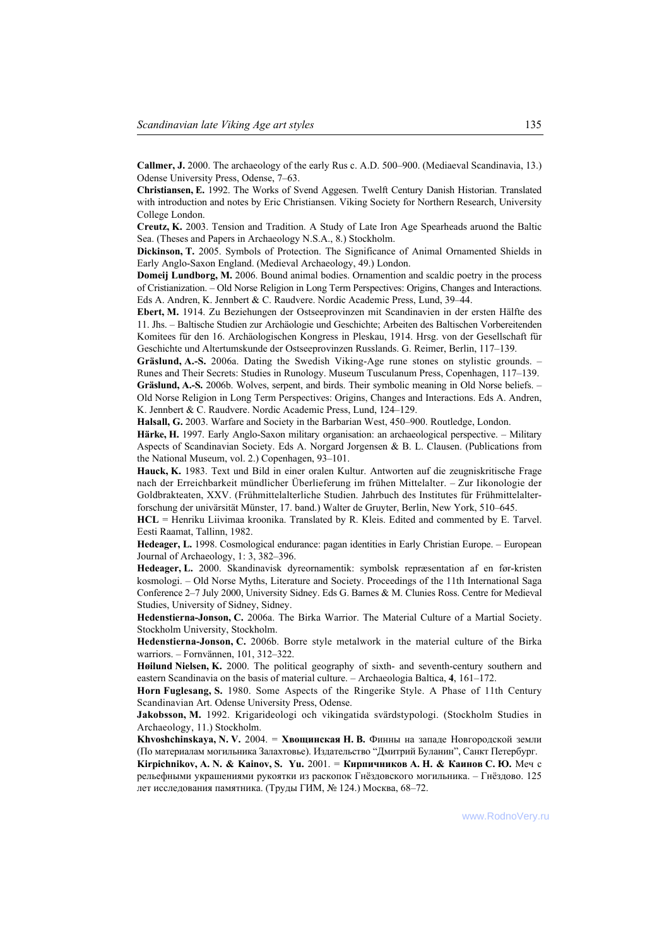**Callmer, J.** 2000. The archaeology of the early Rus c. A.D. 500–900. (Mediaeval Scandinavia, 13.) Odense University Press, Odense, 7–63.

**Christiansen, E.** 1992. The Works of Svend Aggesen. Twelft Century Danish Historian. Translated with introduction and notes by Eric Christiansen. Viking Society for Northern Research, University College London.

**Creutz, K.** 2003. Tension and Tradition. A Study of Late Iron Age Spearheads aruond the Baltic Sea. (Theses and Papers in Archaeology N.S.A., 8.) Stockholm.

**Dickinson, T.** 2005. Symbols of Protection. The Significance of Animal Ornamented Shields in Early Anglo-Saxon England. (Medieval Archaeology, 49.) London.

**Domeij Lundborg, M.** 2006. Bound animal bodies. Ornamention and scaldic poetry in the process of Cristianization. – Old Norse Religion in Long Term Perspectives: Origins, Changes and Interactions. Eds A. Andren, K. Jennbert & C. Raudvere. Nordic Academic Press, Lund, 39–44.

**Ebert, M.** 1914. Zu Beziehungen der Ostseeprovinzen mit Scandinavien in der ersten H‰lfte des 11. Jhs. – Baltische Studien zur Archäologie und Geschichte; Arbeiten des Baltischen Vorbereitenden Komitees für den 16. Archäologischen Kongress in Pleskau, 1914. Hrsg. von der Gesellschaft für Geschichte und Altertumskunde der Ostseeprovinzen Russlands. G. Reimer, Berlin, 117-139.

**Gräslund, A.-S. 2006a.** Dating the Swedish Viking-Age rune stones on stylistic grounds. – Runes and Their Secrets: Studies in Runology. Museum Tusculanum Press, Copenhagen, 117–139.

Gräslund, A.-S. 2006b. Wolves, serpent, and birds. Their symbolic meaning in Old Norse beliefs. -Old Norse Religion in Long Term Perspectives: Origins, Changes and Interactions. Eds A. Andren, K. Jennbert & C. Raudvere. Nordic Academic Press, Lund,  $124-129$ .

**Halsall, G.** 2003. Warfare and Society in the Barbarian West, 450–900. Routledge, London.

**Härke, H.** 1997. Early Anglo-Saxon military organisation: an archaeological perspective. – Military Aspects of Scandinavian Society. Eds A. Norgard Jorgensen & B. L. Clausen. (Publications from the National Museum, vol. 2.) Copenhagen, 93-101.

**Hauck, K.** 1983. Text und Bild in einer oralen Kultur. Antworten auf die zeugniskritische Frage nach der Erreichbarkeit mündlicher Überlieferung im frühen Mittelalter. – Zur Iikonologie der Goldbrakteaten, XXV. (Frühmittelalterliche Studien. Jahrbuch des Institutes für Frühmittelalterforschung der univärsität Münster, 17. band.) Walter de Gruyter, Berlin, New York, 510–645.

**HCL** = Henriku Liivimaa kroonika. Translated by R. Kleis. Edited and commented by E. Tarvel. Eesti Raamat, Tallinn, 1982.

**Hedeager, L. 1998.** Cosmological endurance: pagan identities in Early Christian Europe. – European Journal of Archaeology,  $1: 3, 382-396$ .

**Hedeager, L.** 2000. Skandinavisk dyreornamentik: symbolsk repræsentation af en før-kristen kosmologi. – Old Norse Myths, Literature and Society. Proceedings of the 11th International Saga Conference 2-7 July 2000, University Sidney. Eds G. Barnes & M. Clunies Ross. Centre for Medieval Studies, University of Sidney, Sidney.

**Hedenstierna-Jonson, C.** 2006a. The Birka Warrior. The Material Culture of a Martial Society. Stockholm University, Stockholm.

**Hedenstierna-Jonson, C.** 2006b. Borre style metalwork in the material culture of the Birka warriors. – Fornvännen, 101, 312–322.

**Høilund Nielsen, K.** 2000. The political geography of sixth- and seventh-century southern and eastern Scandinavia on the basis of material culture. – Archaeologia Baltica, 4, 161–172.

**Horn Fuglesang, S.** 1980. Some Aspects of the Ringerike Style. A Phase of 11th Century Scandinavian Art. Odense University Press, Odense.

**Jakobsson, M.** 1992. Krigarideologi och vikingatida svärdstypologi. (Stockholm Studies in Archaeology, 11.) Stockholm.

**Khvoshchinskaya, N. V.** 2004. = **Хвощинская Н. B.** Финны на западе Новгородской земли (По материалам могильника Залахтовье). Издательство "Дмитрий Буланин", Санкт Петербург.

**Kirpichnikov, A. N. & Kainov, S. Yu.** 2001. = **Кирпичников А. Н. & Каинов С. Ю.** Меч с рельефными украшениями рукоятки из раскопок Гнёздовского могильника. - Гнёздово. 125 лет исследования памятника. (Труды ГИМ, № 124.) Москва, 68-72.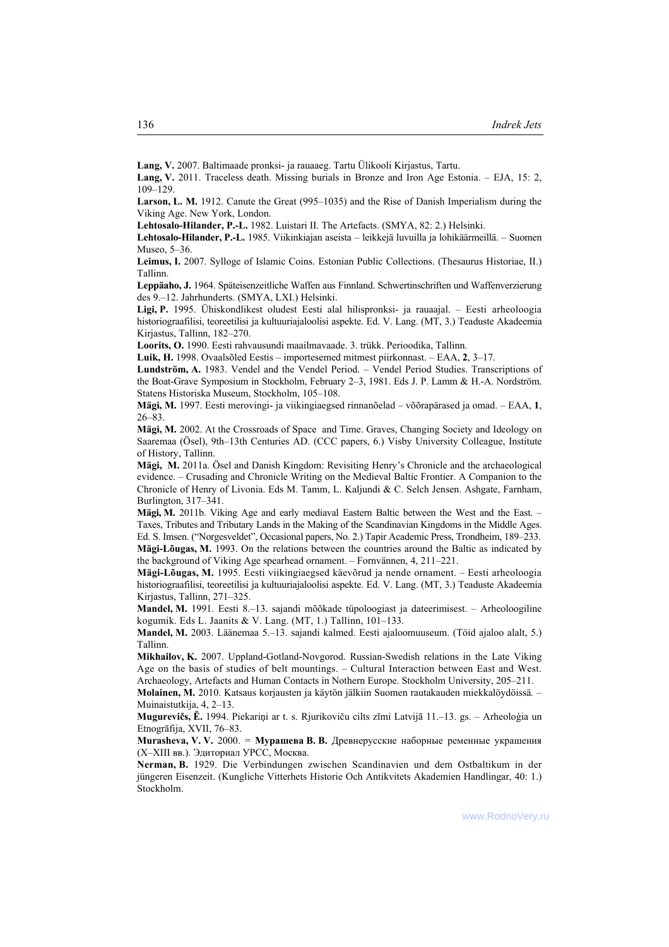Lang, V. 2007. Baltimaade pronksi- ja rauaaeg. Tartu Ülikooli Kirjastus, Tartu.

Lang, V. 2011. Traceless death. Missing burials in Bronze and Iron Age Estonia. – EJA, 15: 2,  $109 - 129$ 

Larson, L. M. 1912. Canute the Great (995–1035) and the Rise of Danish Imperialism during the Viking Age. New York, London.

**Lehtosalo-Hilander, P.-L.** 1982. Luistari II. The Artefacts. (SMYA, 82: 2.) Helsinki.

Lehtosalo-Hilander, P.-L. 1985. Viikinkiajan aseista – leikkejä luvuilla ja lohikäärmeillä. – Suomen Museo,  $5-36$ .

**Leimus, I.** 2007. Sylloge of Islamic Coins. Estonian Public Collections. (Thesaurus Historiae, II.) Tallinn.

Leppäaho, J. 1964. Späteisenzeitliche Waffen aus Finnland. Schwertinschriften und Waffenverzierung des 9.–12. Jahrhunderts. (SMYA, LXI.) Helsinki.

Ligi, P. 1995. Ühiskondlikest oludest Eesti alal hilispronksi- ja rauaajal. – Eesti arheoloogia historiograafilisi, teoreetilisi ja kultuuriajaloolisi aspekte. Ed. V. Lang. (MT, 3.) Teaduste Akadeemia Kirjastus, Tallinn, 182-270.

Loorits, O. 1990. Eesti rahvausundi maailmavaade. 3. trükk. Perioodika, Tallinn.

**Luik, H.** 1998. Ovaalsõled Eestis – importesemed mitmest piirkonnast. – EAA, 2, 3–17.

Lundström, A. 1983. Vendel and the Vendel Period. - Vendel Period Studies. Transcriptions of the Boat-Grave Symposium in Stockholm, February 2–3, 1981. Eds J. P. Lamm & H.-A. Nordström. Statens Historiska Museum, Stockholm, 105-108.

**Mägi, M.** 1997. Eesti merovingi- ja viikingiaegsed rinnanõelad – võõrapärased ja omad. – EAA, 1,  $26 - 83$ .

Mägi, M. 2002. At the Crossroads of Space and Time. Graves, Changing Society and Ideology on Saaremaa (Ösel), 9th–13th Centuries AD. (CCC papers, 6.) Visby University Colleague, Institute of History, Tallinn.

**Mägi, M.** 2011a. Ösel and Danish Kingdom: Revisiting Henry's Chronicle and the archaeological evidence. – Crusading and Chronicle Writing on the Medieval Baltic Frontier. A Companion to the Chronicle of Henry of Livonia. Eds M. Tamm, L. Kaljundi & C. Selch Jensen. Ashgate, Farnham, Burlington, 317–341.

Mägi, M. 2011b. Viking Age and early mediaval Eastern Baltic between the West and the East. – Taxes, Tributes and Tributary Lands in the Making of the Scandinavian Kingdoms in the Middle Ages. Ed. S. Imsen. ("Norgesveldet", Occasional papers, No. 2.) Tapir Academic Press, Trondheim, 189–233.

Mägi-Lõugas, M. 1993. On the relations between the countries around the Baltic as indicated by the background of Viking Age spearhead ornament.  $-$  Fornvännen, 4, 211 $-221$ .

**Mägi-Lõugas, M.** 1995. Eesti viikingiaegsed käevõrud ja nende ornament. – Eesti arheoloogia historiograafilisi, teoreetilisi ja kultuuriajaloolisi aspekte. Ed. V. Lang. (MT, 3.) Teaduste Akadeemia Kirjastus, Tallinn, 271-325.

**Mandel, M.** 1991. Eesti 8.<sup>n.</sup> 13. sajandi mõõkade tüpoloogiast ja dateerimisest. – Arheoloogiline kogumik. Eds L. Jaanits & V. Lang. (MT, 1.) Tallinn,  $101-133$ .

**Mandel, M.** 2003. Läänemaa 5.–13. sajandi kalmed. Eesti ajaloomuuseum. (Tõid ajaloo alalt, 5.) Tallinn.

**Mikhailov, K.** 2007. Uppland-Gotland-Novgorod. Russian-Swedish relations in the Late Viking Age on the basis of studies of belt mountings.  $-$  Cultural Interaction between East and West. Archaeology, Artefacts and Human Contacts in Nothern Europe. Stockholm University, 205–211.

**Molainen, M.** 2010. Katsaus korjausten ja käytön jälkiin Suomen rautakauden miekkalöydöissä. – Muinaistutkija,  $4, 2-13$ .

**Mugurevičs, Ē.** 1994. Piekariņi ar t. s. Rjurikoviču cilts zīmi Latvijā 11.–13. gs. - Arheoloģia un Etnogrāfija, XVII, 76-83.

**Murasheva, V. V.** 2000. = **Мурашева B. B.** Древнерусские наборные ременные украшения (X-XIII вв.). Эдиториал УРСС, Москва.

**Nerman, B.** 1929. Die Verbindungen zwischen Scandinavien und dem Ostbaltikum in der jüngeren Eisenzeit. (Kungliche Vitterhets Historie Och Antikvitets Akademien Handlingar, 40: 1.) Stockholm.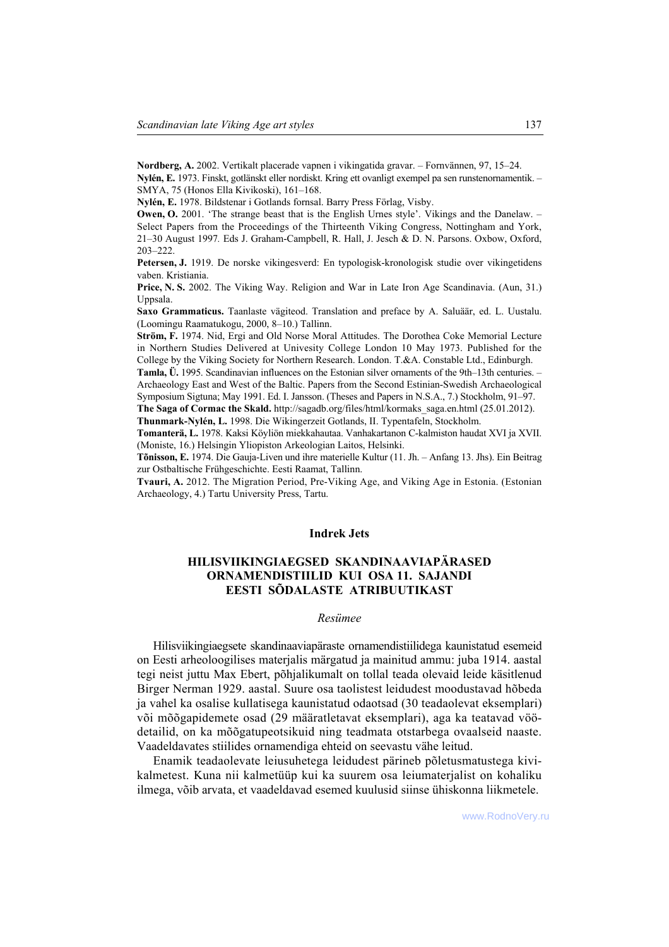**Nordberg, A.** 2002. Vertikalt placerade vapnen i vikingatida gravar. – Fornvännen, 97, 15–24. **Nylén, E.** 1973. Finskt, gotlänskt eller nordiskt. Kring ett ovanligt exempel pa sen runstenornamentik. – SMYA, 75 (Honos Ella Kivikoski), 161-168.

Nylén, E. 1978. Bildstenar i Gotlands fornsal. Barry Press Förlag, Visby.

**Owen, O.** 2001. 'The strange beast that is the English Urnes style'. Vikings and the Danelaw. -Select Papers from the Proceedings of the Thirteenth Viking Congress, Nottingham and York, 21–30 August 1997. Eds J. Graham-Campbell, R. Hall, J. Jesch & D. N. Parsons. Oxbow, Oxford, 203-222.

**Petersen, J.** 1919. De norske vikingesverd: En typologisk-kronologisk studie over vikingetidens vaben. Kristiania.

**Price, N. S.** 2002. The Viking Way. Religion and War in Late Iron Age Scandinavia. (Aun, 31.) Uppsala.

Saxo Grammaticus. Taanlaste vägiteod. Translation and preface by A. Saluäär, ed. L. Uustalu. (Loomingu Raamatukogu, 2000, 8-10.) Tallinn.

**Ström, F.** 1974. Nid, Ergi and Old Norse Moral Attitudes. The Dorothea Coke Memorial Lecture in Northern Studies Delivered at Univesity College London 10 May 1973. Published for the College by the Viking Society for Northern Research. London. T.&A. Constable Ltd., Edinburgh.

**Tamla, U.** 1995. Scandinavian influences on the Estonian silver ornaments of the 9th–13th centuries. – Archaeology East and West of the Baltic. Papers from the Second Estinian-Swedish Archaeological

Symposium Sigtuna; May 1991. Ed. I. Jansson. (Theses and Papers in N.S.A., 7.) Stockholm, 91–97.

**The Saga of Cormac the Skald.** http://sagadb.org/files/html/kormaks\_saga.en.html (25.01.2012).

**Thunmark-NylÈn, L.** 1998. Die Wikingerzeit Gotlands, II. Typentafeln, Stockholm.

Tomanterä, L. 1978. Kaksi Köyliön miekkahautaa. Vanhakartanon C-kalmiston haudat XVI ja XVII. (Moniste, 16.) Helsingin Yliopiston Arkeologian Laitos, Helsinki.

**Tõnisson, E.** 1974. Die Gauja-Liven und ihre materielle Kultur (11. Jh. – Anfang 13. Jhs). Ein Beitrag zur Ostbaltische Frühgeschichte. Eesti Raamat, Tallinn.

**Tvauri, A.** 2012. The Migration Period, Pre-Viking Age, and Viking Age in Estonia. (Estonian Archaeology, 4.) Tartu University Press, Tartu.

## **Indrek Jets**

# **HILISVIIKINGIAEGSED SKANDINAAVIAPƒRASED ORNAMENDISTIILID KUI OSA 11. SAJANDI EESTI S'DALASTE ATRIBUUTIKAST**

#### *Res¸mee*

Hilisviikingiaegsete skandinaaviapäraste ornamendistiilidega kaunistatud esemeid on Eesti arheoloogilises materjalis m‰rgatud ja mainitud ammu: juba 1914. aastal tegi neist juttu Max Ebert, põhjalikumalt on tollal teada olevaid leide käsitlenud Birger Nerman 1929. aastal. Suure osa taolistest leidudest moodustavad hõbeda ja vahel ka osalise kullatisega kaunistatud odaotsad (30 teadaolevat eksemplari) või mõõgapidemete osad (29 määratletavat eksemplari), aga ka teatavad vöödetailid, on ka mõõgatupeotsikuid ning teadmata otstarbega ovaalseid naaste. Vaadeldavates stiilides ornamendiga ehteid on seevastu vähe leitud.

Enamik teadaolevate leiusuhetega leidudest pärineb põletusmatustega kivikalmetest. Kuna nii kalmetüüp kui ka suurem osa leiumaterjalist on kohaliku ilmega, võib arvata, et vaadeldavad esemed kuulusid siinse ühiskonna liikmetele.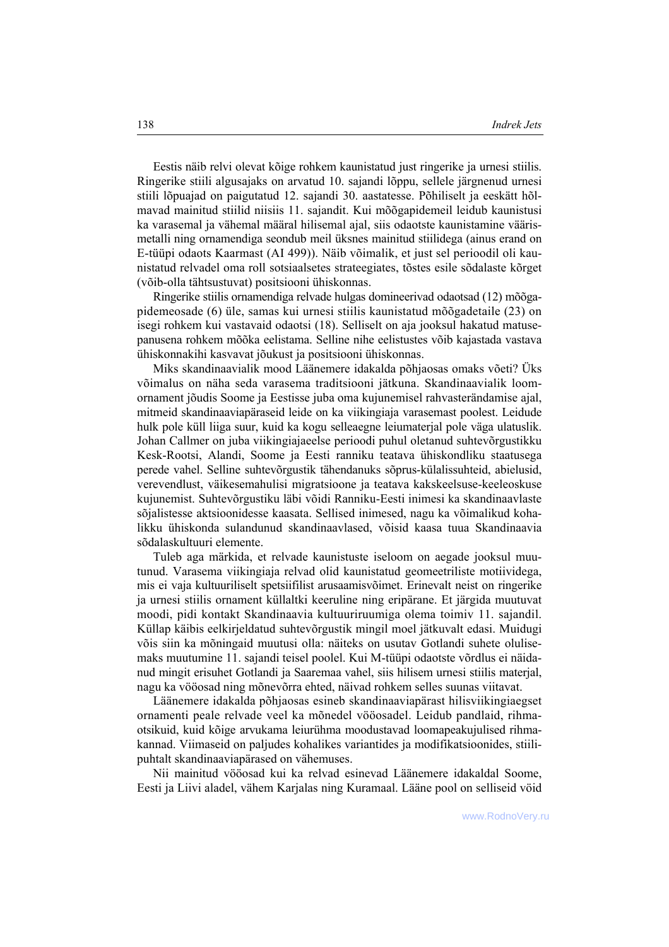Eestis näib relvi olevat kõige rohkem kaunistatud just ringerike ja urnesi stiilis. Ringerike stiili algusajaks on arvatud 10. sajandi lõppu, sellele järgnenud urnesi stiili lõpuajad on paigutatud 12. sajandi 30. aastatesse. Põhiliselt ja eeskätt hõlmavad mainitud stiilid niisiis 11. sajandit. Kui mõõgapidemeil leidub kaunistusi ka varasemal ja vähemal määral hilisemal ajal, siis odaotste kaunistamine väärismetalli ning ornamendiga seondub meil üksnes mainitud stiilidega (ainus erand on E-tüüpi odaots Kaarmast (AI 499)). Näib võimalik, et just sel perioodil oli kaunistatud relvadel oma roll sotsiaalsetes strateegiates, tõstes esile sõdalaste kõrget (võib-olla tähtsustuvat) positsiooni ühiskonnas.

Ringerike stiilis ornamendiga relvade hulgas domineerivad odaotsad (12) mõõgapidemeosade  $(6)$  üle, samas kui urnesi stiilis kaunistatud mõõgadetaile  $(23)$  on isegi rohkem kui vastavaid odaotsi (18). Selliselt on aja jooksul hakatud matusepanusena rohkem mõõka eelistama. Selline nihe eelistustes võib kajastada vastava ühiskonnakihi kasvavat jõukust ja positsiooni ühiskonnas.

Miks skandinaavialik mood Läänemere idakalda põhjaosas omaks võeti? Üks võimalus on näha seda varasema traditsiooni jätkuna. Skandinaavialik loomornament jõudis Soome ja Eestisse juba oma kujunemisel rahvasterändamise ajal, mitmeid skandinaaviapäraseid leide on ka viikingiaja varasemast poolest. Leidude hulk pole küll liiga suur, kuid ka kogu selleaegne leiumaterjal pole väga ulatuslik. Johan Callmer on juba viikingiajaeelse perioodi puhul oletanud suhtevõrgustikku Kesk-Rootsi, Alandi, Soome ja Eesti ranniku teatava ühiskondliku staatusega perede vahel. Selline suhtevõrgustik tähendanuks sõprus-külalissuhteid, abielusid, verevendlust, väikesemahulisi migratsioone ja teatava kakskeelsuse-keeleoskuse kujunemist. Suhtevõrgustiku läbi võidi Ranniku-Eesti inimesi ka skandinaavlaste sõjalistesse aktsioonidesse kaasata. Sellised inimesed, nagu ka võimalikud kohalikku ühiskonda sulandunud skandinaavlased, võisid kaasa tuua Skandinaavia sõdalaskultuuri elemente.

Tuleb aga märkida, et relvade kaunistuste iseloom on aegade jooksul muutunud. Varasema viikingiaja relvad olid kaunistatud geomeetriliste motiividega, mis ei vaja kultuuriliselt spetsiifilist arusaamisvõimet. Erinevalt neist on ringerike ja urnesi stiilis ornament küllaltki keeruline ning eripärane. Et järgida muutuvat moodi, pidi kontakt Skandinaavia kultuuriruumiga olema toimiv 11. sajandil. Küllap käibis eelkirjeldatud suhtevõrgustik mingil moel jätkuvalt edasi. Muidugi võis siin ka mõningaid muutusi olla: näiteks on usutav Gotlandi suhete olulisemaks muutumine 11. sajandi teisel poolel. Kui M-tüüpi odaotste võrdlus ei näidanud mingit erisuhet Gotlandi ja Saaremaa vahel, siis hilisem urnesi stiilis materjal, nagu ka vööosad ning mõnevõrra ehted, näivad rohkem selles suunas viitavat.

Läänemere idakalda põhjaosas esineb skandinaaviapärast hilisviikingiaegset ornamenti peale relvade veel ka mõnedel vööosadel. Leidub pandlaid, rihmaotsikuid, kuid kõige arvukama leiurühma moodustavad loomapeakujulised rihmakannad. Viimaseid on paljudes kohalikes variantides ja modifikatsioonides, stiilipuhtalt skandinaaviapärased on vähemuses.

Nii mainitud vööosad kui ka relvad esinevad Läänemere idakaldal Soome, Eesti ja Liivi aladel, vähem Karjalas ning Kuramaal. Lääne pool on selliseid vöid